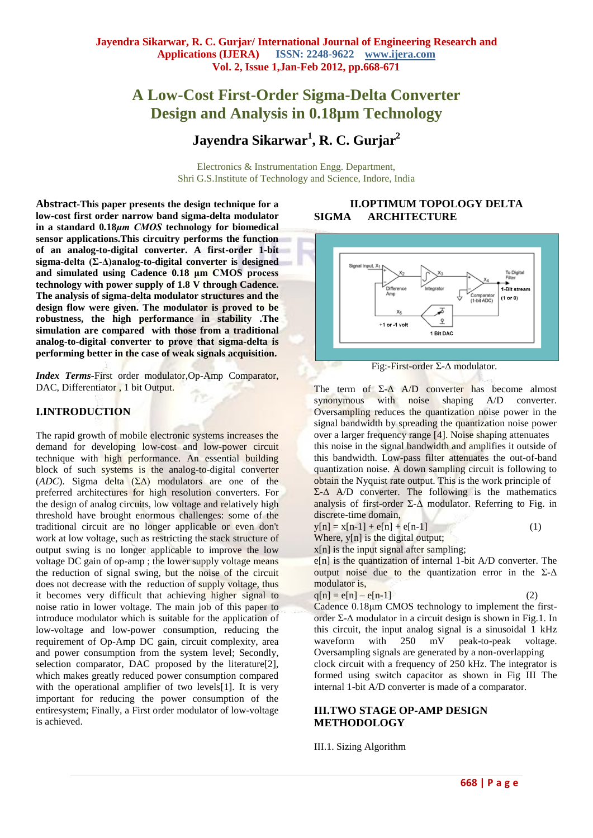# **A Low-Cost First-Order Sigma-Delta Converter Design and Analysis in 0.18µm Technology**

# **Jayendra Sikarwar<sup>1</sup> , R. C. Gurjar<sup>2</sup>**

Electronics & Instrumentation Engg. Department, Shri G.S.Institute of Technology and Science, Indore, India

**Abstract-This paper presents the design technique for a low-cost first order narrow band sigma-delta modulator in a standard 0***.***18***μm CMOS* **technology for biomedical sensor applications.This circuitry performs the function of an analog-to-digital converter. A first-order 1-bit sigma-delta (Σ-Δ)analog-to-digital converter is designed and simulated using Cadence 0.18 μm CMOS process technology with power supply of 1.8 V through Cadence. The analysis of sigma-delta modulator structures and the design flow were given. The modulator is proved to be robustness, the high performance in stability .The simulation are compared with those from a traditional analog-to-digital converter to prove that sigma-delta is performing better in the case of weak signals acquisition.**

*Index Terms***-**First order modulator,Op-Amp Comparator, DAC, Differentiator , 1 bit Output.

#### **I.INTRODUCTION**

The rapid growth of mobile electronic systems increases the demand for developing low-cost and low-power circuit technique with high performance. An essential building block of such systems is the analog-to-digital converter (*ADC*). Sigma delta (ΣΔ) modulators are one of the preferred architectures for high resolution converters. For the design of analog circuits, low voltage and relatively high threshold have brought enormous challenges: some of the traditional circuit are no longer applicable or even don't work at low voltage, such as restricting the stack structure of output swing is no longer applicable to improve the low voltage DC gain of op-amp ; the lower supply voltage means the reduction of signal swing, but the noise of the circuit does not decrease with the reduction of supply voltage, thus it becomes very difficult that achieving higher signal to noise ratio in lower voltage. The main job of this paper to introduce modulator which is suitable for the application of low-voltage and low-power consumption, reducing the requirement of Op-Amp DC gain, circuit complexity, area and power consumption from the system level; Secondly, selection comparator, DAC proposed by the literature<sup>[2]</sup>, which makes greatly reduced power consumption compared with the operational amplifier of two levels[1]. It is very important for reducing the power consumption of the entiresystem; Finally, a First order modulator of low-voltage is achieved.

# **II.OPTIMUM TOPOLOGY DELTA SIGMA ARCHITECTURE**



Fig:-First-order Σ-Δ modulator.

The term of  $\Sigma$ - $\Delta$  A/D converter has become almost synonymous with noise shaping A/D converter. Oversampling reduces the quantization noise power in the signal bandwidth by spreading the quantization noise power over a larger frequency range [4]. Noise shaping attenuates this noise in the signal bandwidth and amplifies it outside of this bandwidth. Low-pass filter attenuates the out-of-band quantization noise. A down sampling circuit is following to obtain the Nyquist rate output. This is the work principle of  $Σ$ -Δ A/D converter. The following is the mathematics analysis of first-order  $\Sigma$ - $\Delta$  modulator. Referring to Fig. in discrete-time domain,

$$
y[n] = x[n-1] + e[n] + e[n-1]
$$
 (1)

Where, y[n] is the digital output;

x[n] is the input signal after sampling;

e[n] is the quantization of internal 1-bit A/D converter. The output noise due to the quantization error in the  $\Sigma$ - $\Delta$ modulator is,

$$
q[n] = e[n] - e[n-1]
$$
 (2)

Cadence 0.18μm CMOS technology to implement the firstorder Σ-Δ modulator in a circuit design is shown in Fig.1. In this circuit, the input analog signal is a sinusoidal 1 kHz waveform with 250 mV peak-to-peak voltage. Oversampling signals are generated by a non-overlapping

clock circuit with a frequency of 250 kHz. The integrator is formed using switch capacitor as shown in Fig III The internal 1-bit A/D converter is made of a comparator.

#### **III.TWO STAGE OP-AMP DESIGN METHODOLOGY**

III.1. Sizing Algorithm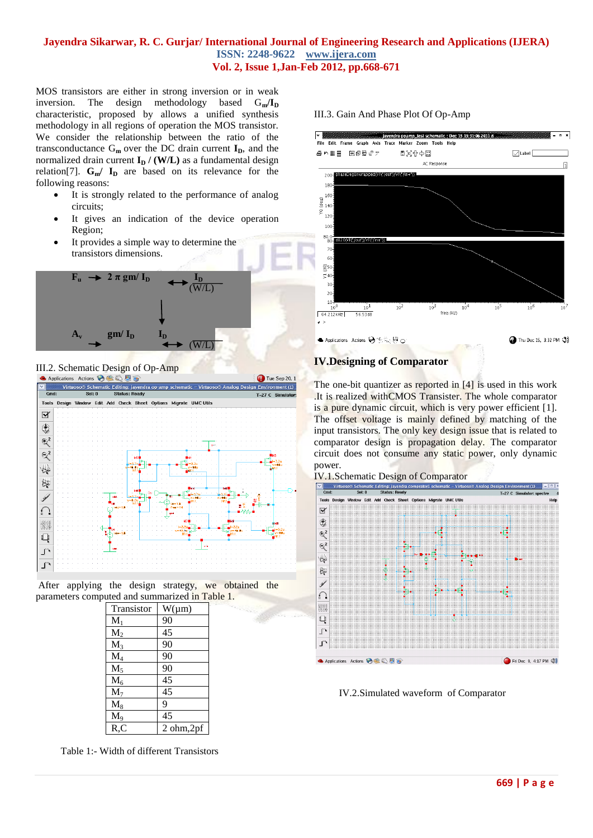#### **Jayendra Sikarwar, R. C. Gurjar/ International Journal of Engineering Research and Applications (IJERA) ISSN: 2248-9622 www.ijera.com Vol. 2, Issue 1,Jan-Feb 2012, pp.668-671**

MOS transistors are either in strong inversion or in weak inversion. The design methodology based  $G_m / I_D$ characteristic, proposed by allows a unified synthesis methodology in all regions of operation the MOS transistor. We consider the relationship between the ratio of the transconductance  $G_m$  over the DC drain current  $I_p$ , and the normalized drain current  $I_D$  / (W/L) as a fundamental design relation<sup>[7]</sup>.  $G_m / I_D$  are based on its relevance for the following reasons:

- It is strongly related to the performance of analog circuits;
- It gives an indication of the device operation Region;
- It provides a simple way to determine the transistors dimensions.



**III.2. Schematic Design of Op-Amp**<br>
Applications Actions **OSQUE** 



After applying the design strategy, we obtained the parameters computed and summarized in Table 1.

| Transistor | $W(\mu m)$                   |
|------------|------------------------------|
| $M_1$      | 90                           |
| $M_2$      | 45                           |
| $M_3$      | 90                           |
| $M_4$      | 90                           |
| $M_5$      | 90                           |
| $M_6$      | 45                           |
| $M_7$      | 45                           |
| $M_8$      | 9                            |
| $M_9$      | 45                           |
| R, C       | $2 \text{ ohm,} 2 \text{pf}$ |

Table 1:- Width of different Transistors

#### III.3. Gain And Phase Plot Of Op-Amp



# **IV.Designing of Comparator**

The one-bit quantizer as reported in [4] is used in this work .It is realized withCMOS Transister. The whole comparator is a pure dynamic circuit, which is very power efficient [1]. The offset voltage is mainly defined by matching of the input transistors. The only key design issue that is related to comparator design is propagation delay. The comparator circuit does not consume any static power, only dynamic power.





IV.2.Simulated waveform of Comparator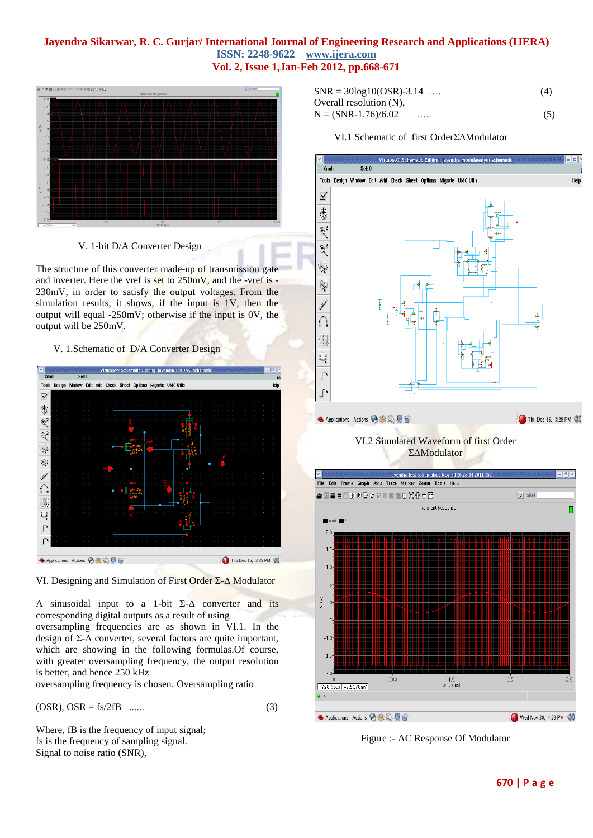### **Jayendra Sikarwar, R. C. Gurjar/ International Journal of Engineering Research and Applications (IJERA) ISSN: 2248-9622 www.ijera.com Vol. 2, Issue 1,Jan-Feb 2012, pp.668-671**



V. 1-bit D/A Converter Design

The structure of this converter made-up of transmission gate and inverter. Here the vref is set to 250mV, and the -vref is - 230mV, in order to satisfy the output voltages. From the simulation results, it shows, if the input is 1V, then the output will equal -250mV; otherwise if the input is 0V, the output will be 250mV.

#### V. 1.Schematic of D/A Converter Design



VI. Designing and Simulation of First Order Σ-Δ Modulator

A sinusoidal input to a 1-bit  $\Sigma$ - $\Delta$  converter and its corresponding digital outputs as a result of using oversampling frequencies are as shown in VI.1. In the design of Σ-Δ converter, several factors are quite important, which are showing in the following formulas.Of course, with greater oversampling frequency, the output resolution is better, and hence 250 kHz

oversampling frequency is chosen. Oversampling ratio

$$
(OSR), OSR = fs/2fB \quad ...... \tag{3}
$$

Where, fB is the frequency of input signal; fs is the frequency of sampling signal. Signal to noise ratio (SNR),

| $SNR = 30\log 10(OSR) - 3.14$ |   | (4) |
|-------------------------------|---|-----|
| Overall resolution $(N)$ ,    |   |     |
| $N = (SNR-1.76)/6.02$         | . | (5) |

## VI.1 Schematic of first OrderΣΔModulator



## VI.2 Simulated Waveform of first Order ΣΔModulator



Figure :- AC Response Of Modulator